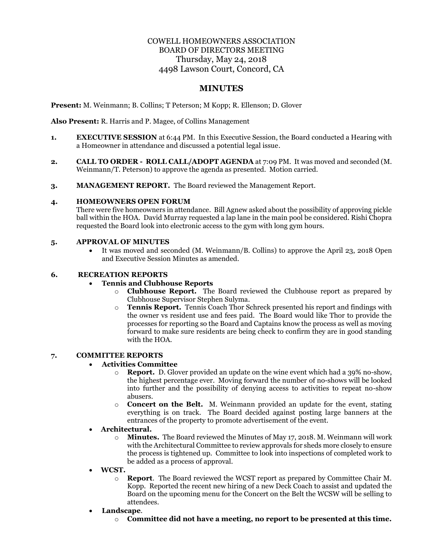# COWELL HOMEOWNERS ASSOCIATION BOARD OF DIRECTORS MEETING Thursday, May 24, 2018 4498 Lawson Court, Concord, CA

# **MINUTES**

**Present:** M. Weinmann; B. Collins; T Peterson; M Kopp; R. Ellenson; D. Glover

**Also Present:** R. Harris and P. Magee, of Collins Management

- **1. EXECUTIVE SESSION** at 6:44 PM. In this Executive Session, the Board conducted a Hearing with a Homeowner in attendance and discussed a potential legal issue.
- **2. CALL TO ORDER ROLL CALL/ADOPT AGENDA** at 7:09 PM. It was moved and seconded (M. Weinmann/T. Peterson) to approve the agenda as presented. Motion carried.
- **3. MANAGEMENT REPORT.** The Board reviewed the Management Report.

### **4. HOMEOWNERS OPEN FORUM**

There were five homeowners in attendance. Bill Agnew asked about the possibility of approving pickle ball within the HOA. David Murray requested a lap lane in the main pool be considered. Rishi Chopra requested the Board look into electronic access to the gym with long gym hours.

# **5. APPROVAL OF MINUTES**

• It was moved and seconded (M. Weinmann/B. Collins) to approve the April 23, 2018 Open and Executive Session Minutes as amended.

### **6. RECREATION REPORTS**

## • **Tennis and Clubhouse Reports**

- o **Clubhouse Report.** The Board reviewed the Clubhouse report as prepared by Clubhouse Supervisor Stephen Sulyma.
- o **Tennis Report.** Tennis Coach Thor Schreck presented his report and findings with the owner vs resident use and fees paid. The Board would like Thor to provide the processes for reporting so the Board and Captains know the process as well as moving forward to make sure residents are being check to confirm they are in good standing with the HOA.

# **7. COMMITTEE REPORTS**

# • **Activities Committee**

- o **Report.** D. Glover provided an update on the wine event which had a 39% no-show, the highest percentage ever. Moving forward the number of no-shows will be looked into further and the possibility of denying access to activities to repeat no-show abusers.
- o **Concert on the Belt.** M. Weinmann provided an update for the event, stating everything is on track. The Board decided against posting large banners at the entrances of the property to promote advertisement of the event.
- **Architectural.** 
	- o **Minutes.** The Board reviewed the Minutes of May 17, 2018. M. Weinmann will work with the Architectural Committee to review approvals for sheds more closely to ensure the process is tightened up. Committee to look into inspections of completed work to be added as a process of approval.
- **WCST.** 
	- o **Report**. The Board reviewed the WCST report as prepared by Committee Chair M. Kopp. Reported the recent new hiring of a new Deck Coach to assist and updated the Board on the upcoming menu for the Concert on the Belt the WCSW will be selling to attendees.
- **Landscape**.
	- o **Committee did not have a meeting, no report to be presented at this time.**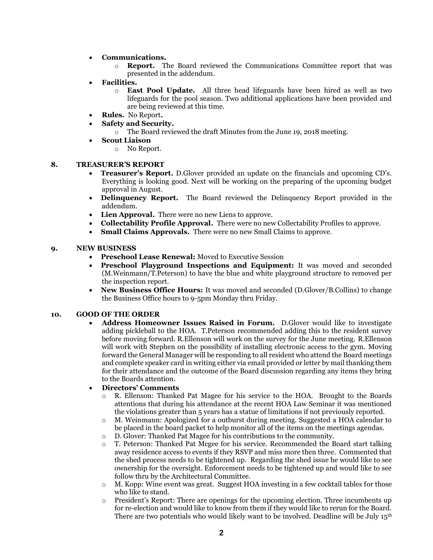- **Communications.** 
	- **Report.** The Board reviewed the Communications Committee report that was presented in the addendum.
- **Facilities.** 
	- o **East Pool Update.** All three head lifeguards have been hired as well as two lifeguards for the pool season. Two additional applications have been provided and are being reviewed at this time.
- **Rules.** No Report**.**
- **Safety and Security.**
	- o The Board reviewed the draft Minutes from the June 19, 2018 meeting.
- **Scout Liaison**
	- o No Report.

#### **8. TREASURER'S REPORT**

- **Treasurer's Report.** D.Glover provided an update on the financials and upcoming CD's. Everything is looking good. Next will be working on the preparing of the upcoming budget approval in August.
- **Delinquency Report.** The Board reviewed the Delinquency Report provided in the addendum.
- **Lien Approval.** There were no new Liens to approve.
- **Collectability Profile Approval.** There were no new Collectability Profiles to approve.
- **Small Claims Approvals.** There were no new Small Claims to approve.

### **9. NEW BUSINESS**

- **Preschool Lease Renewal:** Moved to Executive Session
- **Preschool Playground Inspections and Equipment:** It was moved and seconded (M.Weinmann/T.Peterson) to have the blue and white playground structure to removed per the inspection report.
- **New Business Office Hours:** It was moved and seconded (D.Glover/B.Collins) to change the Business Office hours to 9-5pm Monday thru Friday.

### **10. GOOD OF THE ORDER**

• **Address Homeowner Issues Raised in Forum.** D.Glover would like to investigate adding pickleball to the HOA. T.Peterson recommended adding this to the resident survey before moving forward. R.Ellenson will work on the survey for the June meeting. R.Ellenson will work with Stephen on the possibility of installing electronic access to the gym. Moving forward the General Manager will be responding to all resident who attend the Board meetings and complete speaker card in writing either via email provided or letter by mail thanking them for their attendance and the outcome of the Board discussion regarding any items they bring to the Boards attention.

#### • **Directors' Comments**

- o R. Ellenson: Thanked Pat Magee for his service to the HOA. Brought to the Boards attentions that during his attendance at the recent HOA Law Seminar it was mentioned the violations greater than 5 years has a statue of limitations if not previously reported.
- o M. Weinmann: Apologized for a outburst during meeting. Suggested a HOA calendar to be placed in the board packet to help monitor all of the items on the meetings agendas.
- o D. Glover: Thanked Pat Magee for his contributions to the community.
- o T. Peterson: Thanked Pat Mcgee for his service. Recommended the Board start talking away residence access to events if they RSVP and miss more then three. Commented that the shed process needs to be tightened up. Regarding the shed issue he would like to see ownership for the oversight. Enforcement needs to be tightened up and would like to see follow thru by the Architectural Committee.
- o M. Kopp: Wine event was great. Suggest HOA investing in a few cocktail tables for those who like to stand.
- o President's Report: There are openings for the upcoming election. Three incumbents up for re-election and would like to know from them if they would like to rerun for the Board. There are two potentials who would likely want to be involved. Deadline will be July  $15<sup>th</sup>$